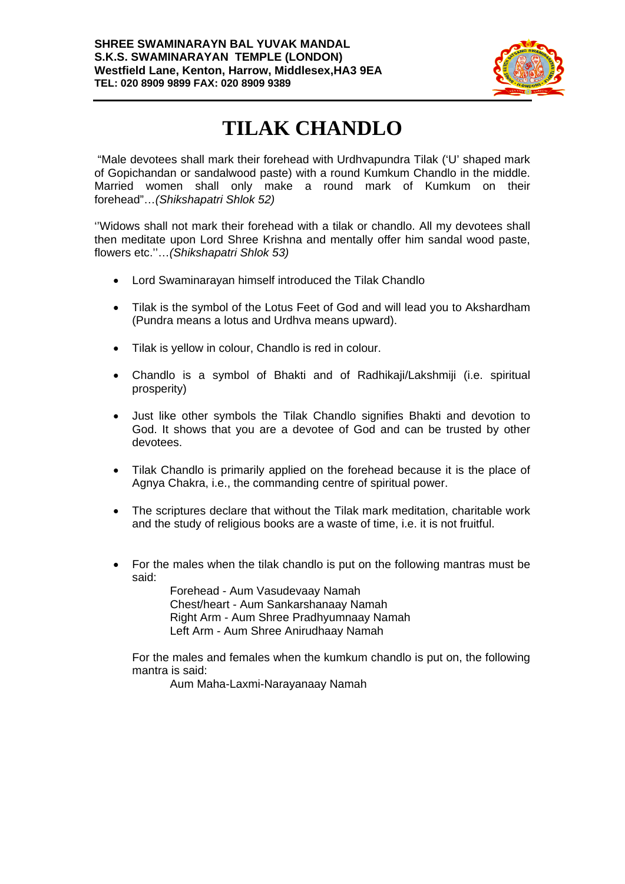

## **TILAK CHANDLO**

 "Male devotees shall mark their forehead with Urdhvapundra Tilak ('U' shaped mark of Gopichandan or sandalwood paste) with a round Kumkum Chandlo in the middle. Married women shall only make a round mark of Kumkum on their forehead"…*(Shikshapatri Shlok 52)* 

''Widows shall not mark their forehead with a tilak or chandlo. All my devotees shall then meditate upon Lord Shree Krishna and mentally offer him sandal wood paste, flowers etc.''…*(Shikshapatri Shlok 53)*

- Lord Swaminarayan himself introduced the Tilak Chandlo
- Tilak is the symbol of the Lotus Feet of God and will lead you to Akshardham (Pundra means a lotus and Urdhva means upward).
- Tilak is yellow in colour, Chandlo is red in colour.
- Chandlo is a symbol of Bhakti and of Radhikaji/Lakshmiji (i.e. spiritual prosperity)
- Just like other symbols the Tilak Chandlo signifies Bhakti and devotion to God. It shows that you are a devotee of God and can be trusted by other devotees.
- Tilak Chandlo is primarily applied on the forehead because it is the place of Agnya Chakra, i.e., the commanding centre of spiritual power.
- The scriptures declare that without the Tilak mark meditation, charitable work and the study of religious books are a waste of time, i.e. it is not fruitful.
- For the males when the tilak chandlo is put on the following mantras must be said:

 Forehead - Aum Vasudevaay Namah Chest/heart - Aum Sankarshanaay Namah Right Arm - Aum Shree Pradhyumnaay Namah Left Arm - Aum Shree Anirudhaay Namah

For the males and females when the kumkum chandlo is put on, the following mantra is said:

Aum Maha-Laxmi-Narayanaay Namah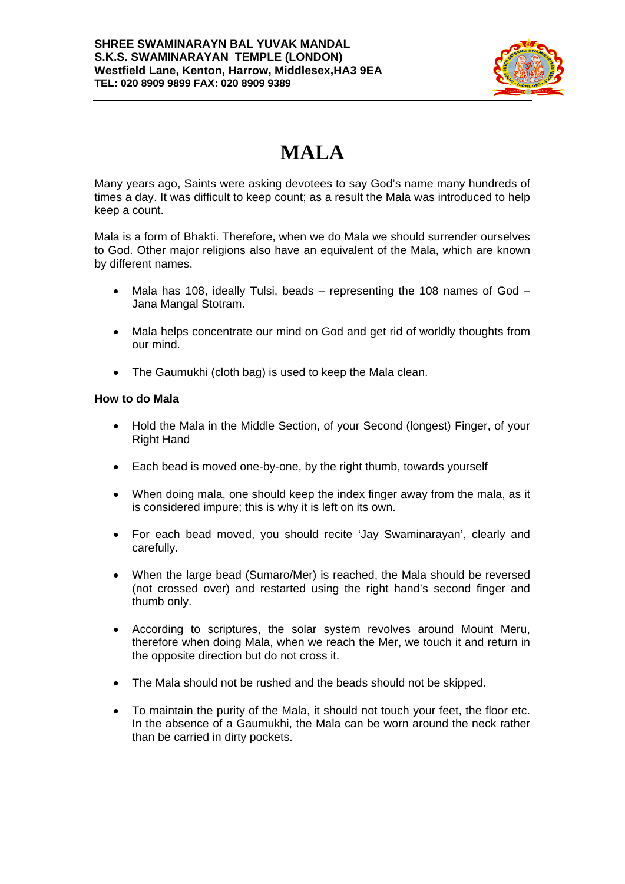

## **MALA**

Many years ago, Saints were asking devotees to say God's name many hundreds of times a day. It was difficult to keep count; as a result the Mala was introduced to help keep a count.

Mala is a form of Bhakti. Therefore, when we do Mala we should surrender ourselves to God. Other major religions also have an equivalent of the Mala, which are known by different names.

- Mala has 108, ideally Tulsi, beads representing the 108 names of God Jana Mangal Stotram.
- Mala helps concentrate our mind on God and get rid of worldly thoughts from our mind.
- The Gaumukhi (cloth bag) is used to keep the Mala clean.

## **How to do Mala**

- Hold the Mala in the Middle Section, of your Second (longest) Finger, of your Right Hand
- Each bead is moved one-by-one, by the right thumb, towards yourself
- When doing mala, one should keep the index finger away from the mala, as it is considered impure; this is why it is left on its own.
- For each bead moved, you should recite 'Jay Swaminarayan', clearly and carefully.
- When the large bead (Sumaro/Mer) is reached, the Mala should be reversed (not crossed over) and restarted using the right hand's second finger and thumb only.
- According to scriptures, the solar system revolves around Mount Meru, therefore when doing Mala, when we reach the Mer, we touch it and return in the opposite direction but do not cross it.
- The Mala should not be rushed and the beads should not be skipped.
- To maintain the purity of the Mala, it should not touch your feet, the floor etc. In the absence of a Gaumukhi, the Mala can be worn around the neck rather than be carried in dirty pockets.